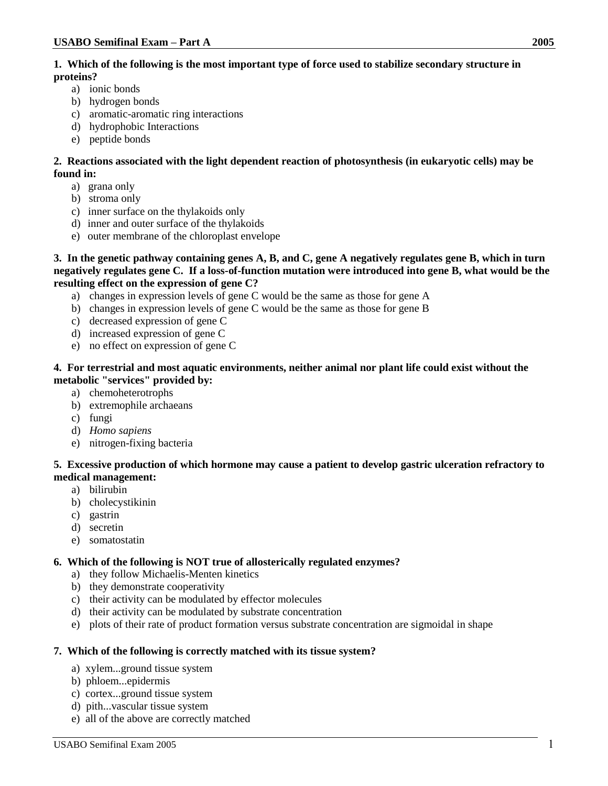## **1. Which of the following is the most important type of force used to stabilize secondary structure in proteins?**

- a) ionic bonds
- b) hydrogen bonds
- c) aromatic-aromatic ring interactions
- d) hydrophobic Interactions
- e) peptide bonds

**2. Reactions associated with the light dependent reaction of photosynthesis (in eukaryotic cells) may be found in:**

- a) grana only
- b) stroma only
- c) inner surface on the thylakoids only
- d) inner and outer surface of the thylakoids
- e) outer membrane of the chloroplast envelope

**3. In the genetic pathway containing genes A, B, and C, gene A negatively regulates gene B, which in turn negatively regulates gene C. If a loss-of-function mutation were introduced into gene B, what would be the resulting effect on the expression of gene C?**

- a) changes in expression levels of gene C would be the same as those for gene A
- b) changes in expression levels of gene C would be the same as those for gene B
- c) decreased expression of gene C
- d) increased expression of gene C
- e) no effect on expression of gene C

### **4. For terrestrial and most aquatic environments, neither animal nor plant life could exist without the metabolic "services" provided by:**

- a) chemoheterotrophs
- b) extremophile archaeans
- c) fungi
- d) *Homo sapiens*
- e) nitrogen-fixing bacteria

## **5. Excessive production of which hormone may cause a patient to develop gastric ulceration refractory to medical management:**

- a) bilirubin
- b) cholecystikinin
- c) gastrin
- d) secretin
- e) somatostatin

## **6. Which of the following is NOT true of allosterically regulated enzymes?**

- a) they follow Michaelis-Menten kinetics
- b) they demonstrate cooperativity
- c) their activity can be modulated by effector molecules
- d) their activity can be modulated by substrate concentration
- e) plots of their rate of product formation versus substrate concentration are sigmoidal in shape

#### **7. Which of the following is correctly matched with its tissue system?**

- a) xylem...ground tissue system
- b) phloem...epidermis
- c) cortex...ground tissue system
- d) pith...vascular tissue system
- e) all of the above are correctly matched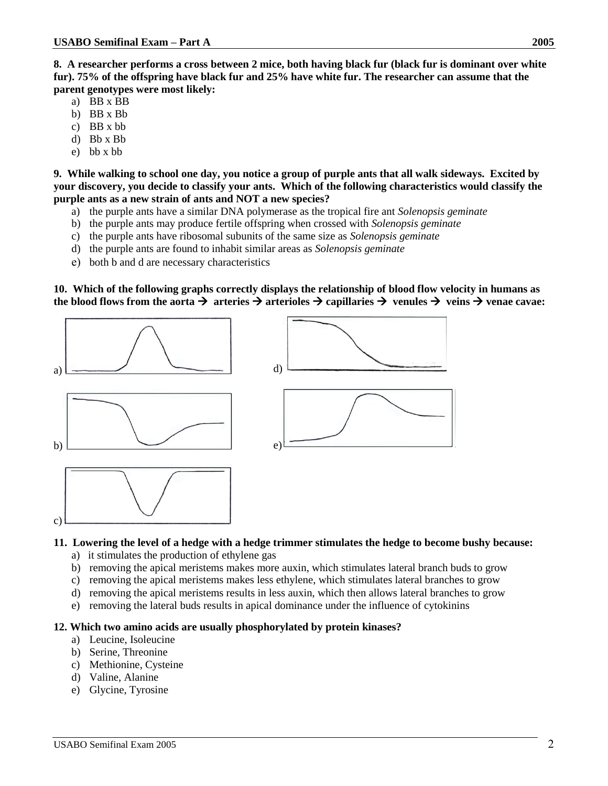**8. A researcher performs a cross between 2 mice, both having black fur (black fur is dominant over white fur). 75% of the offspring have black fur and 25% have white fur. The researcher can assume that the parent genotypes were most likely:** 

- a) BB x BB
- b) BB x Bb
- c) BB x bb
- d) Bb x Bb
- e) bb x bb

**9. While walking to school one day, you notice a group of purple ants that all walk sideways. Excited by your discovery, you decide to classify your ants. Which of the following characteristics would classify the purple ants as a new strain of ants and NOT a new species?**

- a) the purple ants have a similar DNA polymerase as the tropical fire ant *Solenopsis geminate*
- b) the purple ants may produce fertile offspring when crossed with *Solenopsis geminate*
- c) the purple ants have ribosomal subunits of the same size as *Solenopsis geminate*
- d) the purple ants are found to inhabit similar areas as *Solenopsis geminate*
- e) both b and d are necessary characteristics

**10. Which of the following graphs correctly displays the relationship of blood flow velocity in humans as the blood flows from the aorta**  $\rightarrow$  **arteries**  $\rightarrow$  **arterioles**  $\rightarrow$  **capillaries**  $\rightarrow$  **venules**  $\rightarrow$  **veins**  $\rightarrow$  **venae cavae:** 







#### **11. Lowering the level of a hedge with a hedge trimmer stimulates the hedge to become bushy because:**

- a) it stimulates the production of ethylene gas
- b) removing the apical meristems makes more auxin, which stimulates lateral branch buds to grow
- c) removing the apical meristems makes less ethylene, which stimulates lateral branches to grow
- d) removing the apical meristems results in less auxin, which then allows lateral branches to grow
- e) removing the lateral buds results in apical dominance under the influence of cytokinins

#### **12. Which two amino acids are usually phosphorylated by protein kinases?**

- a) Leucine, Isoleucine
- b) Serine, Threonine

c)

- c) Methionine, Cysteine
- d) Valine, Alanine
- e) Glycine, Tyrosine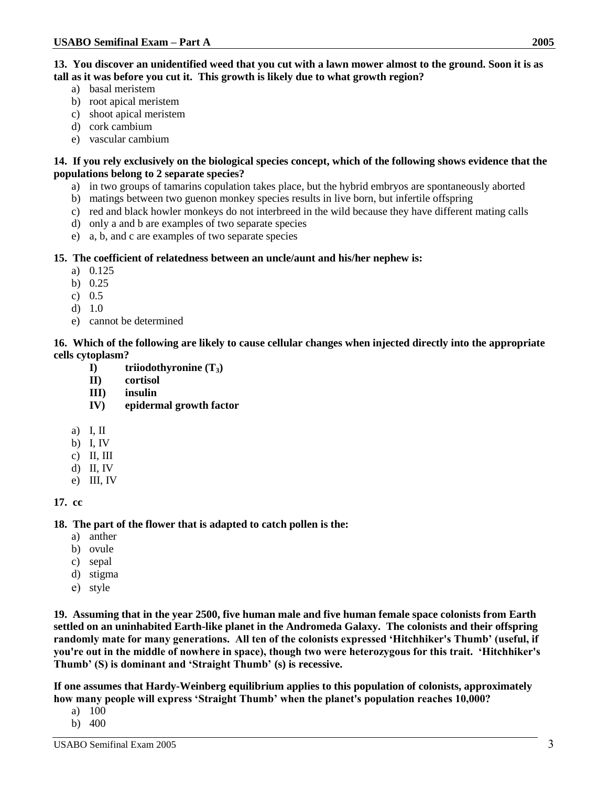**13. You discover an unidentified weed that you cut with a lawn mower almost to the ground. Soon it is as tall as it was before you cut it. This growth is likely due to what growth region?**

- a) basal meristem
- b) root apical meristem
- c) shoot apical meristem
- d) cork cambium
- e) vascular cambium

## **14. If you rely exclusively on the biological species concept, which of the following shows evidence that the populations belong to 2 separate species?**

- a) in two groups of tamarins copulation takes place, but the hybrid embryos are spontaneously aborted
- b) matings between two guenon monkey species results in live born, but infertile offspring
- c) red and black howler monkeys do not interbreed in the wild because they have different mating calls
- d) only a and b are examples of two separate species
- e) a, b, and c are examples of two separate species

## **15. The coefficient of relatedness between an uncle/aunt and his/her nephew is:**

- a) 0.125
- b) 0.25
- c) 0.5
- d) 1.0
- e) cannot be determined

## **16. Which of the following are likely to cause cellular changes when injected directly into the appropriate cells cytoplasm?**

- **I) triiodothyronine (T3)**
- **II) cortisol**
- **III) insulin**
- **IV) epidermal growth factor**
- a) I, II
- b) I, IV
- c) II, III
- d) II, IV
- e) III, IV

**17. cc**

**18. The part of the flower that is adapted to catch pollen is the:**

- a) anther
- b) ovule
- c) sepal
- d) stigma
- e) style

**19. Assuming that in the year 2500, five human male and five human female space colonists from Earth settled on an uninhabited Earth-like planet in the Andromeda Galaxy. The colonists and their offspring randomly mate for many generations. All ten of the colonists expressed 'Hitchhiker's Thumb' (useful, if you're out in the middle of nowhere in space), though two were heterozygous for this trait. 'Hitchhiker's Thumb' (S) is dominant and 'Straight Thumb' (s) is recessive.** 

**If one assumes that Hardy-Weinberg equilibrium applies to this population of colonists, approximately how many people will express 'Straight Thumb' when the planet's population reaches 10,000?**

- a) 100
- b) 400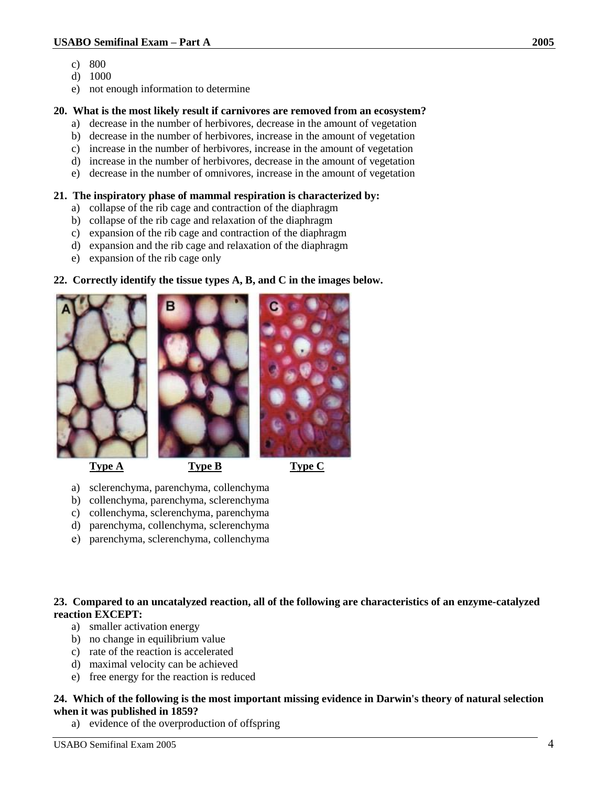- c) 800
- d) 1000
- e) not enough information to determine

## **20. What is the most likely result if carnivores are removed from an ecosystem?**

- a) decrease in the number of herbivores, decrease in the amount of vegetation
- b) decrease in the number of herbivores, increase in the amount of vegetation
- c) increase in the number of herbivores, increase in the amount of vegetation
- d) increase in the number of herbivores, decrease in the amount of vegetation e) decrease in the number of omnivores, increase in the amount of vegetation

# **21. The inspiratory phase of mammal respiration is characterized by:**

- a) collapse of the rib cage and contraction of the diaphragm
- b) collapse of the rib cage and relaxation of the diaphragm
- c) expansion of the rib cage and contraction of the diaphragm
- d) expansion and the rib cage and relaxation of the diaphragm
- e) expansion of the rib cage only

## **22. Correctly identify the tissue types A, B, and C in the images below.**





**Type A** Type B Type C



- a) sclerenchyma, parenchyma, collenchyma
- b) collenchyma, parenchyma, sclerenchyma
- c) collenchyma, sclerenchyma, parenchyma
- d) parenchyma, collenchyma, sclerenchyma
- e) parenchyma, sclerenchyma, collenchyma

## **23. Compared to an uncatalyzed reaction, all of the following are characteristics of an enzyme-catalyzed reaction EXCEPT:**

- a) smaller activation energy
- b) no change in equilibrium value
- c) rate of the reaction is accelerated
- d) maximal velocity can be achieved
- e) free energy for the reaction is reduced

## **24. Which of the following is the most important missing evidence in Darwin's theory of natural selection when it was published in 1859?**

a) evidence of the overproduction of offspring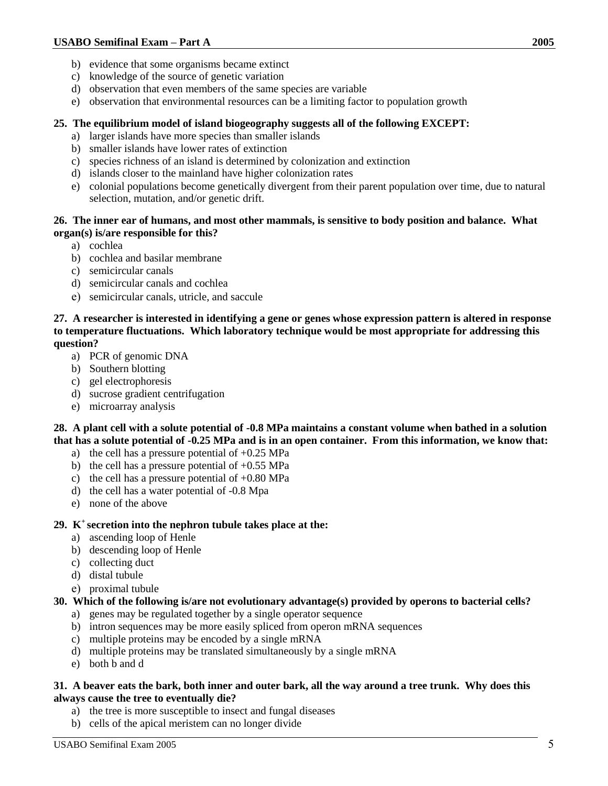- b) evidence that some organisms became extinct
- c) knowledge of the source of genetic variation
- d) observation that even members of the same species are variable
- e) observation that environmental resources can be a limiting factor to population growth

## **25. The equilibrium model of island biogeography suggests all of the following EXCEPT:**

- a) larger islands have more species than smaller islands
- b) smaller islands have lower rates of extinction
- c) species richness of an island is determined by colonization and extinction
- d) islands closer to the mainland have higher colonization rates
- e) colonial populations become genetically divergent from their parent population over time, due to natural selection, mutation, and/or genetic drift.

## **26. The inner ear of humans, and most other mammals, is sensitive to body position and balance. What organ(s) is/are responsible for this?**

- a) cochlea
- b) cochlea and basilar membrane
- c) semicircular canals
- d) semicircular canals and cochlea
- e) semicircular canals, utricle, and saccule

**27. A researcher is interested in identifying a gene or genes whose expression pattern is altered in response to temperature fluctuations. Which laboratory technique would be most appropriate for addressing this question?**

- a) PCR of genomic DNA
- b) Southern blotting
- c) gel electrophoresis
- d) sucrose gradient centrifugation
- e) microarray analysis

**28. A plant cell with a solute potential of -0.8 MPa maintains a constant volume when bathed in a solution that has a solute potential of -0.25 MPa and is in an open container. From this information, we know that:**

- a) the cell has a pressure potential of +0.25 MPa
- b) the cell has a pressure potential of  $+0.55$  MPa
- c) the cell has a pressure potential of  $+0.80$  MPa
- d) the cell has a water potential of -0.8 Mpa
- e) none of the above

#### **29. K<sup>+</sup>secretion into the nephron tubule takes place at the:**

- a) ascending loop of Henle
- b) descending loop of Henle
- c) collecting duct
- d) distal tubule
- e) proximal tubule

### **30. Which of the following is/are not evolutionary advantage(s) provided by operons to bacterial cells?**

- a) genes may be regulated together by a single operator sequence
- b) intron sequences may be more easily spliced from operon mRNA sequences
- c) multiple proteins may be encoded by a single mRNA
- d) multiple proteins may be translated simultaneously by a single mRNA
- e) both b and d

#### **31. A beaver eats the bark, both inner and outer bark, all the way around a tree trunk. Why does this always cause the tree to eventually die?**

- a) the tree is more susceptible to insect and fungal diseases
- b) cells of the apical meristem can no longer divide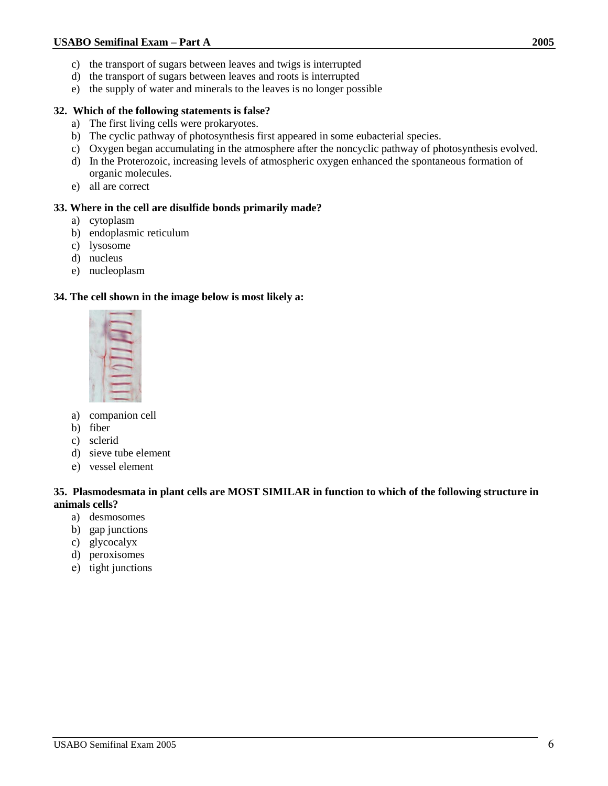- c) the transport of sugars between leaves and twigs is interrupted
- d) the transport of sugars between leaves and roots is interrupted
- e) the supply of water and minerals to the leaves is no longer possible

## **32. Which of the following statements is false?**

- a) The first living cells were prokaryotes.
- b) The cyclic pathway of photosynthesis first appeared in some eubacterial species.
- c) Oxygen began accumulating in the atmosphere after the noncyclic pathway of photosynthesis evolved.
- d) In the Proterozoic, increasing levels of atmospheric oxygen enhanced the spontaneous formation of organic molecules.
- e) all are correct

## **33. Where in the cell are disulfide bonds primarily made?**

- a) cytoplasm
- b) endoplasmic reticulum
- c) lysosome
- d) nucleus
- e) nucleoplasm

## **34. The cell shown in the image below is most likely a:**



- a) companion cell
- b) fiber
- c) sclerid
- d) sieve tube element
- e) vessel element

## **35. Plasmodesmata in plant cells are MOST SIMILAR in function to which of the following structure in animals cells?**

- a) desmosomes
- b) gap junctions
- c) glycocalyx
- d) peroxisomes
- e) tight junctions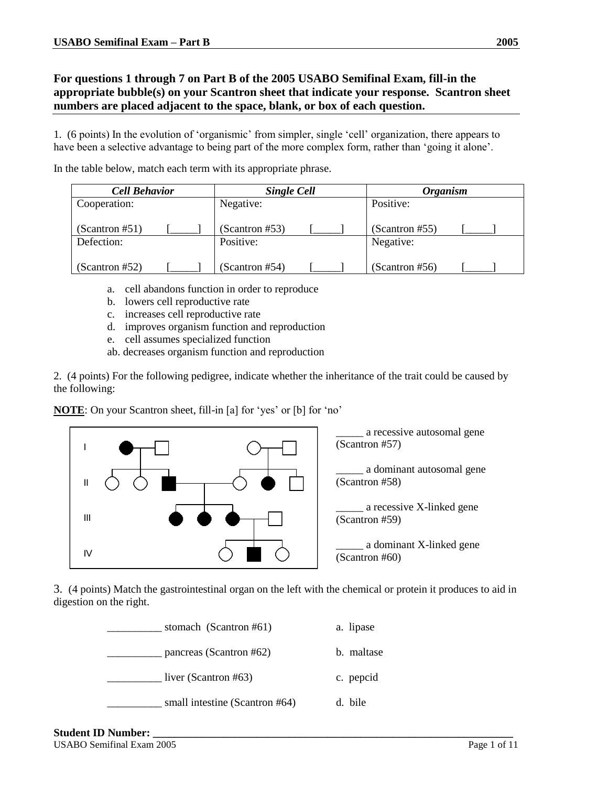## **For questions 1 through 7 on Part B of the 2005 USABO Semifinal Exam, fill-in the appropriate bubble(s) on your Scantron sheet that indicate your response. Scantron sheet numbers are placed adjacent to the space, blank, or box of each question.**

1. (6 points) In the evolution of 'organismic' from simpler, single 'cell' organization, there appears to have been a selective advantage to being part of the more complex form, rather than 'going it alone'.

In the table below, match each term with its appropriate phrase.

| <b>Cell Behavior</b> |  | <b>Single Cell</b> |  | <b>Organism</b> |  |
|----------------------|--|--------------------|--|-----------------|--|
| Cooperation:         |  | Negative:          |  | Positive:       |  |
|                      |  |                    |  |                 |  |
| (Scantron #51)       |  | (Scantron #53)     |  | (Scantron #55)  |  |
| Defection:           |  | Positive:          |  | Negative:       |  |
|                      |  |                    |  |                 |  |
| (Scantron #52)       |  | (Scantron #54)     |  | (Scantron #56)  |  |

- a. cell abandons function in order to reproduce
- b. lowers cell reproductive rate
- c. increases cell reproductive rate
- d. improves organism function and reproduction
- e. cell assumes specialized function
- ab. decreases organism function and reproduction

2. (4 points) For the following pedigree, indicate whether the inheritance of the trait could be caused by the following:

**NOTE**: On your Scantron sheet, fill-in [a] for 'yes' or [b] for 'no'



3. (4 points) Match the gastrointestinal organ on the left with the chemical or protein it produces to aid in digestion on the right.

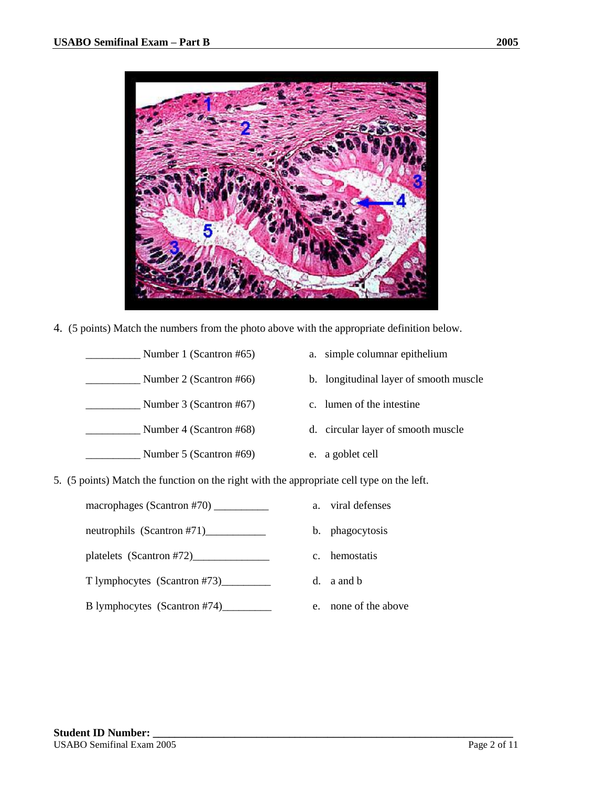

4. (5 points) Match the numbers from the photo above with the appropriate definition below.

| Number 1 (Scantron #65) | a. simple columnar epithelium          |
|-------------------------|----------------------------------------|
| Number 2 (Scantron #66) | b. longitudinal layer of smooth muscle |
| Number 3 (Scantron #67) | c. lumen of the intestine              |
| Number 4 (Scantron #68) | d. circular layer of smooth muscle     |
| Number 5 (Scantron #69) | e. a goblet cell                       |

5. (5 points) Match the function on the right with the appropriate cell type on the left.

| macrophages (Scantron #70) $\_\_$ |
|-----------------------------------|
|-----------------------------------|

neutrophils (Scantron #71)\_\_\_\_\_\_\_\_\_\_\_\_\_

- platelets (Scantron #72)\_\_\_\_\_\_\_\_\_\_\_\_\_\_
- T lymphocytes (Scantron #73)\_\_\_\_\_\_\_\_\_
- B lymphocytes (Scantron #74)\_\_\_\_\_\_\_\_\_
- a. viral defenses
- b. phagocytosis
- c. hemostatis
- d. a and b
- e. none of the above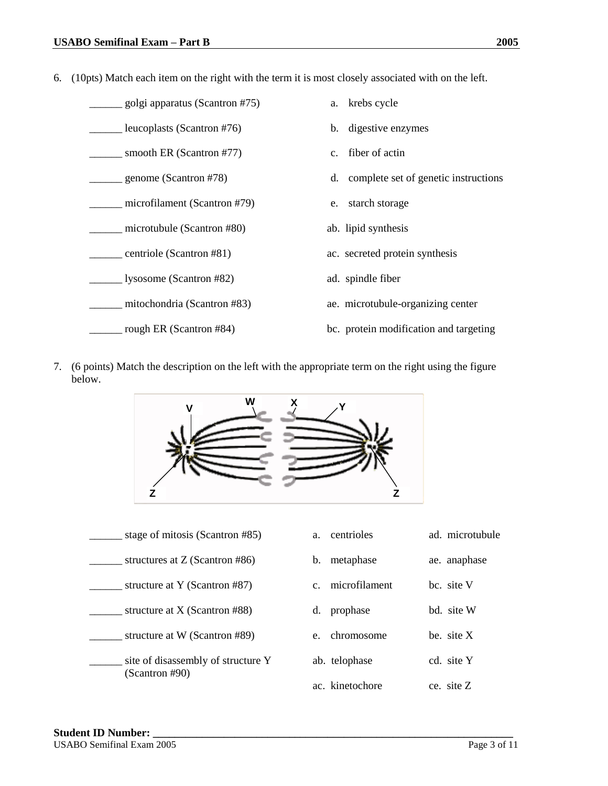6. (10pts) Match each item on the right with the term it is most closely associated with on the left.

| golgi apparatus (Scantron #75) | a. krebs cycle                          |
|--------------------------------|-----------------------------------------|
| leucoplasts (Scantron #76)     | b. digestive enzymes                    |
| smooth ER (Scantron #77)       | fiber of actin<br>$c_{\cdot}$           |
| genome (Scantron #78)          | d. complete set of genetic instructions |
| microfilament (Scantron #79)   | starch storage<br>e.                    |
| microtubule (Scantron #80)     | ab. lipid synthesis                     |
| $=$ centriole (Scantron #81)   | ac. secreted protein synthesis          |
| lysosome (Scantron #82)        | ad. spindle fiber                       |
| mitochondria (Scantron #83)    | ae. microtubule-organizing center       |
| rough ER (Scantron #84)        | bc. protein modification and targeting  |

7. (6 points) Match the description on the left with the appropriate term on the right using the figure below.



| stage of mitosis (Scantron #85)                      | centrioles<br>a.             | ad. microtubule |
|------------------------------------------------------|------------------------------|-----------------|
| structures at $Z$ (Scantron #86)                     | metaphase<br>$\mathbf b$ .   | ae. anaphase    |
| structure at Y (Scantron #87)                        | microfilament<br>$C_{\cdot}$ | bc. site V      |
| structure at $X$ (Scantron #88)                      | prophase<br>d.               | bd. site W      |
| structure at W (Scantron #89)                        | chromosome<br>$e_{\cdot}$    | be $\,$ site X  |
| site of disassembly of structure Y<br>(Scantron #90) | ab. telophase                | cd. site Y      |
|                                                      | ac. kinetochore              | ce. site $Z$    |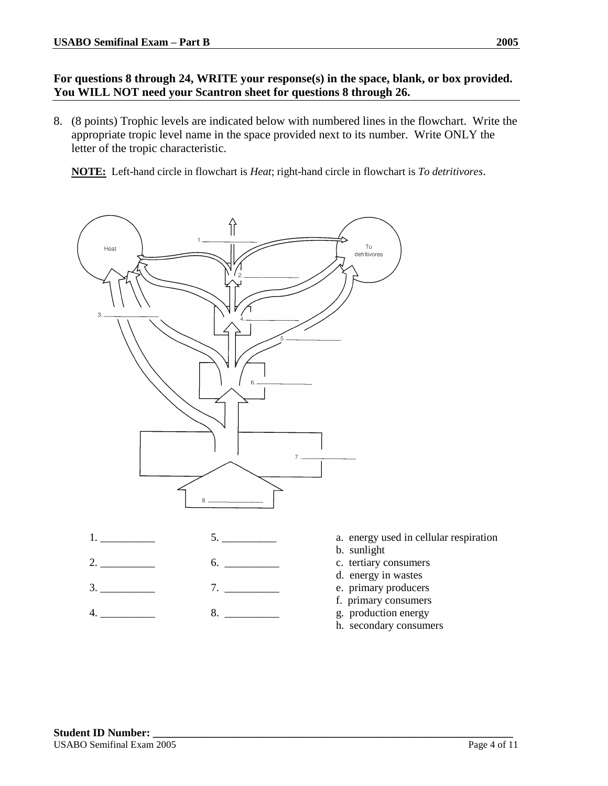# **For questions 8 through 24, WRITE your response(s) in the space, blank, or box provided. You WILL NOT need your Scantron sheet for questions 8 through 26.**

8. (8 points) Trophic levels are indicated below with numbered lines in the flowchart. Write the appropriate tropic level name in the space provided next to its number. Write ONLY the letter of the tropic characteristic.

**NOTE:** Left-hand circle in flowchart is *Heat*; right-hand circle in flowchart is *To detritivores*.

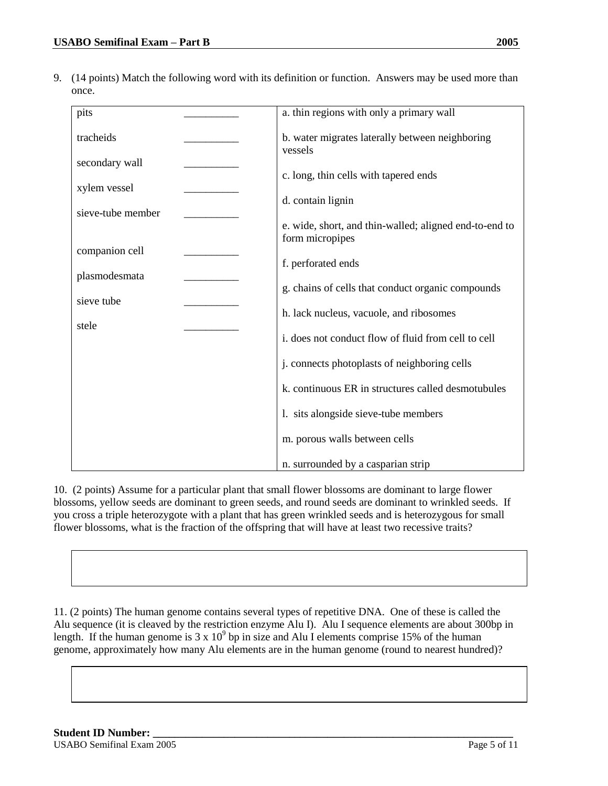9. (14 points) Match the following word with its definition or function. Answers may be used more than once.

| pits              | a. thin regions with only a primary wall                   |
|-------------------|------------------------------------------------------------|
| tracheids         | b. water migrates laterally between neighboring<br>vessels |
| secondary wall    |                                                            |
| xylem vessel      | c. long, thin cells with tapered ends                      |
|                   | d. contain lignin                                          |
| sieve-tube member | e. wide, short, and thin-walled; aligned end-to-end to     |
|                   | form micropipes                                            |
| companion cell    |                                                            |
| plasmodesmata     | f. perforated ends                                         |
|                   | g. chains of cells that conduct organic compounds          |
| sieve tube        | h. lack nucleus, vacuole, and ribosomes                    |
| stele             | i. does not conduct flow of fluid from cell to cell        |
|                   | j. connects photoplasts of neighboring cells               |
|                   | k. continuous ER in structures called desmotubules         |
|                   | 1. sits alongside sieve-tube members                       |
|                   | m. porous walls between cells                              |
|                   | n. surrounded by a casparian strip                         |

10. (2 points) Assume for a particular plant that small flower blossoms are dominant to large flower blossoms, yellow seeds are dominant to green seeds, and round seeds are dominant to wrinkled seeds. If you cross a triple heterozygote with a plant that has green wrinkled seeds and is heterozygous for small flower blossoms, what is the fraction of the offspring that will have at least two recessive traits?

11. (2 points) The human genome contains several types of repetitive DNA. One of these is called the Alu sequence (it is cleaved by the restriction enzyme Alu I). Alu I sequence elements are about 300bp in length. If the human genome is  $3 \times 10^9$  bp in size and Alu I elements comprise 15% of the human genome, approximately how many Alu elements are in the human genome (round to nearest hundred)?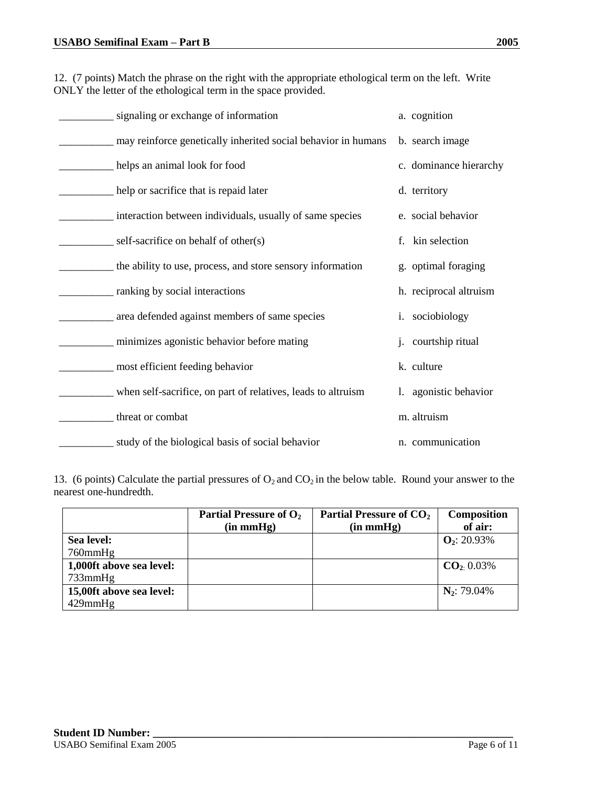12. (7 points) Match the phrase on the right with the appropriate ethological term on the left. Write ONLY the letter of the ethological term in the space provided.

| signaling or exchange of information                             | a. cognition           |
|------------------------------------------------------------------|------------------------|
| __ may reinforce genetically inherited social behavior in humans | b. search image        |
| helps an animal look for food                                    | c. dominance hierarchy |
| help or sacrifice that is repaid later                           | d. territory           |
| interaction between individuals, usually of same species         | e. social behavior     |
| $\equiv$ self-sacrifice on behalf of other(s)                    | kin selection<br>f.    |
| the ability to use, process, and store sensory information       | g. optimal foraging    |
| __ ranking by social interactions                                | h. reciprocal altruism |
| area defended against members of same species                    | i. sociobiology        |
| minimizes agonistic behavior before mating                       | j. courtship ritual    |
| __ most efficient feeding behavior                               | k. culture             |
| when self-sacrifice, on part of relatives, leads to altruism     | 1. agonistic behavior  |
| _threat or combat                                                | m. altruism            |
| study of the biological basis of social behavior                 | n. communication       |

13. (6 points) Calculate the partial pressures of  $O_2$  and  $CO_2$  in the below table. Round your answer to the nearest one-hundredth.

|                          | Partial Pressure of O <sub>2</sub> | Partial Pressure of CO <sub>2</sub> | <b>Composition</b> |
|--------------------------|------------------------------------|-------------------------------------|--------------------|
|                          | (in mmHg)                          | (in mmHg)                           | of air:            |
| Sea level:               |                                    |                                     | $Q_2$ : 20.93%     |
| $760$ mm $Hg$            |                                    |                                     |                    |
| 1,000ft above sea level: |                                    |                                     | $CO2$ 0.03%        |
| $733$ mm $Hg$            |                                    |                                     |                    |
| 15,00ft above sea level: |                                    |                                     | $N_2$ : 79.04%     |
| $429$ mm $Hg$            |                                    |                                     |                    |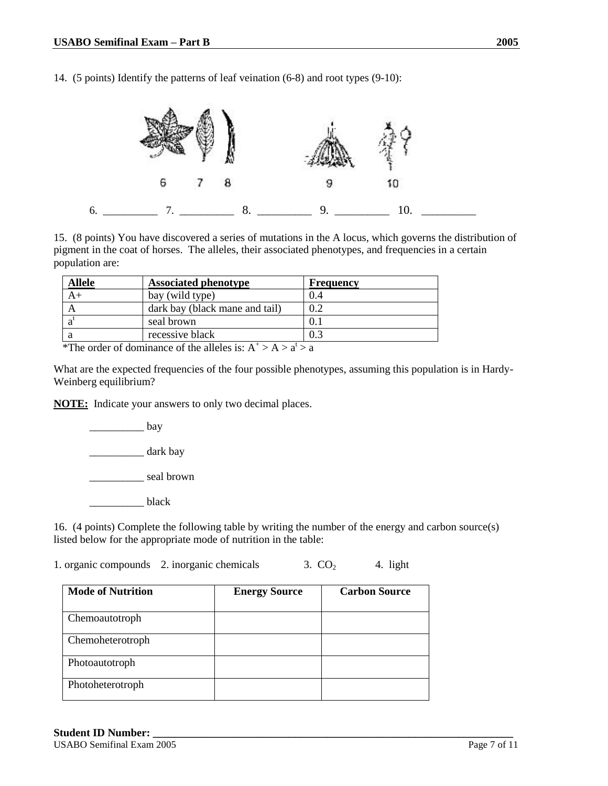14. (5 points) Identify the patterns of leaf veination (6-8) and root types (9-10):



15. (8 points) You have discovered a series of mutations in the A locus, which governs the distribution of pigment in the coat of horses. The alleles, their associated phenotypes, and frequencies in a certain population are:

| <b>Allele</b> | <b>Associated phenotype</b>    | <b>Frequency</b> |
|---------------|--------------------------------|------------------|
| $A+$          | bay (wild type)                | (0.4)            |
|               | dark bay (black mane and tail) | 0.2              |
| a             | seal brown                     | $\Omega$ .       |
| а             | recessive black                | 0.3              |

\*The order of dominance of the alleles is:  $A^+ > A > a^t > a$ 

What are the expected frequencies of the four possible phenotypes, assuming this population is in Hardy-Weinberg equilibrium?

**NOTE:** Indicate your answers to only two decimal places.

bay

\_\_\_\_\_\_\_\_\_\_ dark bay

\_\_\_\_\_\_\_\_\_\_ seal brown

black

16. (4 points) Complete the following table by writing the number of the energy and carbon source(s) listed below for the appropriate mode of nutrition in the table:

1. organic compounds 2. inorganic chemicals  $3. CO<sub>2</sub>$  4. light

| <b>Mode of Nutrition</b> | <b>Energy Source</b> | <b>Carbon Source</b> |
|--------------------------|----------------------|----------------------|
| Chemoautotroph           |                      |                      |
| Chemoheterotroph         |                      |                      |
| Photoautotroph           |                      |                      |
| Photoheterotroph         |                      |                      |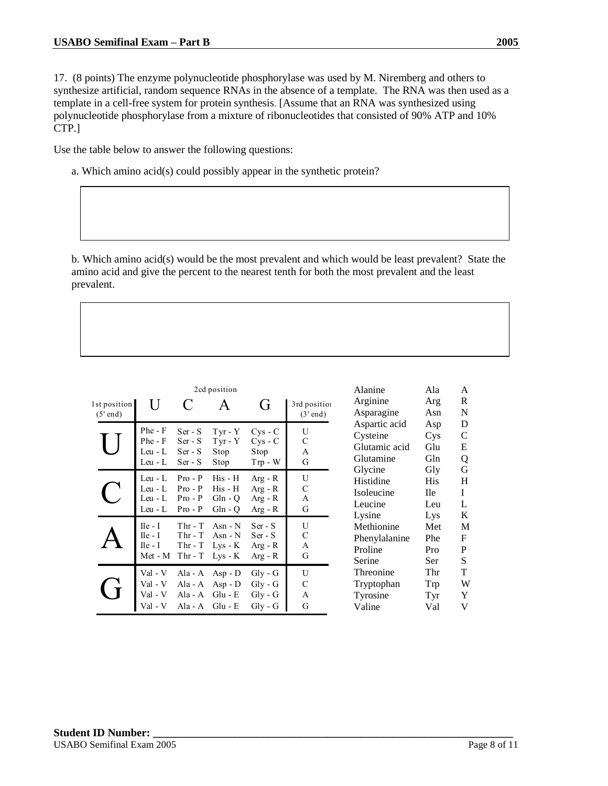17. (8 points) The enzyme polynucleotide phosphorylase was used by M. Niremberg and others to synthesize artificial, random sequence RNAs in the absence of a template. The RNA was then used as a template in a cell-free system for protein synthesis. [Assume that an RNA was synthesized using polynucleotide phosphorylase from a mixture of ribonucleotides that consisted of 90% ATP and 10% CTP.]

Use the table below to answer the following questions:

a. Which amino acid(s) could possibly appear in the synthetic protein?

b. Which amino acid(s) would be the most prevalent and which would be least prevalent? State the amino acid and give the percent to the nearest tenth for both the most prevalent and the least prevalent.

| 2cd position               |                                               |                                                  |                                                |                                                                    |                            |
|----------------------------|-----------------------------------------------|--------------------------------------------------|------------------------------------------------|--------------------------------------------------------------------|----------------------------|
| 1st position<br>$(5'$ end) | U                                             |                                                  |                                                | G,                                                                 | 3rd position<br>$(3'$ end) |
|                            | Phe - F<br>Phe - F<br>Leu - L<br>Leu - L      | $Ser - S$<br>$Ser-S$<br>$Ser-S$<br>Ser - S       | $Tyr - Y$<br>$Tyr - Y$<br>Stop<br>Stop         | $CVS - C$<br>$Cys - C$<br>Stop<br>$Trp - W$                        | U<br>C<br>A<br>G           |
|                            | Leu - L<br>Leu - L<br>Leu - L<br>Leu - L      | $Pro - P$<br>$Pro - P$<br>$Pro - P$<br>$Pro - P$ | His - H<br>His - H<br>$Gln - Q$<br>$Gln - Q$   | $Arg - R$<br>$Arg - R$<br>$Arg - R$<br>$Arg - R$                   | U<br>C<br>A<br>G           |
|                            | $I$ le - I<br>$Ile - I$<br>Ile - I<br>Met - M | $Thr - T$<br>$Thr - T$<br>$Thr - T$<br>$Thr - T$ | Asn - N<br>Asn - $N$<br>$Lys - K$<br>$Lys - K$ | $Ser - S$<br>$Ser-S$<br>$Arg - R$<br>$Arg - R$                     | U<br>C<br>A<br>G           |
|                            | Val - V<br>Val - V                            | Ala - A<br>Ala - A<br>Ala - A<br>Ala - $A$       | $Asp - D$<br>$Asp - D$<br>$Glu - E$<br>Glu - E | Gly - G<br>$Gly - G$<br>$\mathrm{Gly}$ - $\mathrm{G}$<br>$Gly - G$ | U<br>C<br>A<br>G           |

| Alanine       | Ala        | A |
|---------------|------------|---|
| Arginine      | Arg        | R |
| Asparagine    | Asn        | N |
| Aspartic acid | Asp        | D |
| Cysteine      | Cys        | C |
| Glutamic acid | Glu        | E |
| Glutamine     | Gln        | Q |
| Glycine       | Gly        | G |
| Histidine     | His        | H |
| Isoleucine    | <b>Ile</b> | I |
| Leucine       | Leu        | L |
| Lysine        | Lys        | K |
| Methionine    | Met        | M |
| Phenylalanine | Phe        | F |
| Proline       | Pro        | P |
| Serine        | Ser        | S |
| Threonine     | Thr        | T |
| Tryptophan    | Trp        | W |
| Tyrosine      | Tyr        | Y |
| Valine        | Val        | V |
|               |            |   |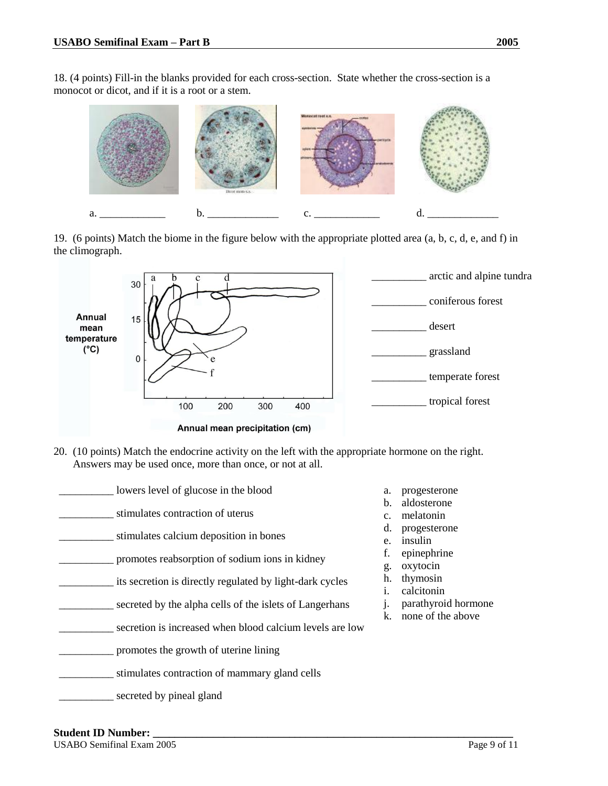18. (4 points) Fill-in the blanks provided for each cross-section. State whether the cross-section is a monocot or dicot, and if it is a root or a stem.



19. (6 points) Match the biome in the figure below with the appropriate plotted area (a, b, c, d, e, and f) in the climograph.



20. (10 points) Match the endocrine activity on the left with the appropriate hormone on the right. Answers may be used once, more than once, or not at all.



- a. progesterone
- b. aldosterone
- c. melatonin
- d. progesterone
- e. insulin
- f. epinephrine
- g. oxytocin
- h. thymosin
- i. calcitonin
- j. parathyroid hormone
- k. none of the above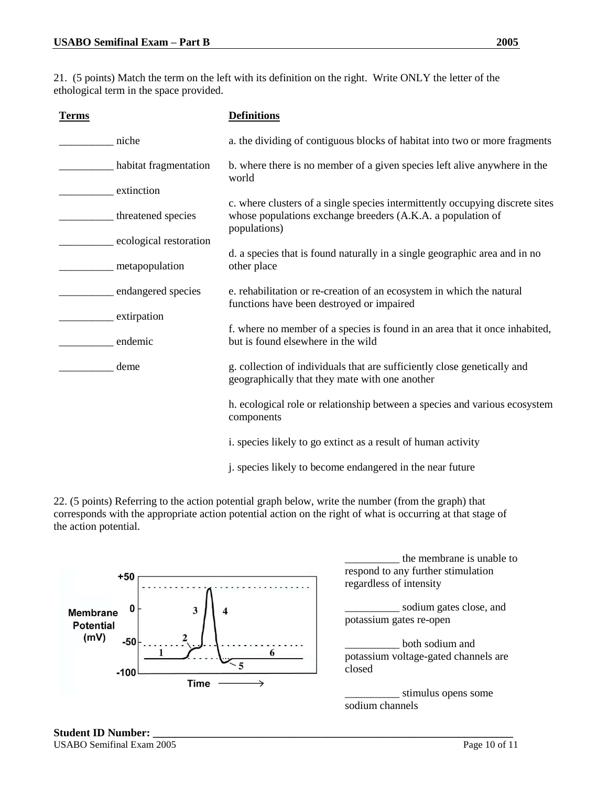21. (5 points) Match the term on the left with its definition on the right. Write ONLY the letter of the ethological term in the space provided.

| <b>Terms</b>           | <b>Definitions</b>                                                                                                                                           |  |
|------------------------|--------------------------------------------------------------------------------------------------------------------------------------------------------------|--|
| niche                  | a. the dividing of contiguous blocks of habitat into two or more fragments                                                                                   |  |
| habitat fragmentation  | b. where there is no member of a given species left alive anywhere in the<br>world                                                                           |  |
| extinction             | c. where clusters of a single species intermittently occupying discrete sites<br>whose populations exchange breeders (A.K.A. a population of<br>populations) |  |
| threatened species     |                                                                                                                                                              |  |
| ecological restoration |                                                                                                                                                              |  |
| metapopulation         | d. a species that is found naturally in a single geographic area and in no<br>other place                                                                    |  |
| endangered species     | e. rehabilitation or re-creation of an ecosystem in which the natural<br>functions have been destroyed or impaired                                           |  |
| extirpation            |                                                                                                                                                              |  |
| endemic                | f. where no member of a species is found in an area that it once inhabited,<br>but is found elsewhere in the wild                                            |  |
| deme                   | g. collection of individuals that are sufficiently close genetically and<br>geographically that they mate with one another                                   |  |
|                        | h. ecological role or relationship between a species and various ecosystem<br>components                                                                     |  |
|                        | i. species likely to go extinct as a result of human activity                                                                                                |  |
|                        | j. species likely to become endangered in the near future                                                                                                    |  |

22. (5 points) Referring to the action potential graph below, write the number (from the graph) that corresponds with the appropriate action potential action on the right of what is occurring at that stage of the action potential.



\_\_\_\_\_\_\_\_\_\_ the membrane is unable to respond to any further stimulation regardless of intensity

sodium gates close, and potassium gates re-open

both sodium and potassium voltage-gated channels are

stimulus opens some sodium channels